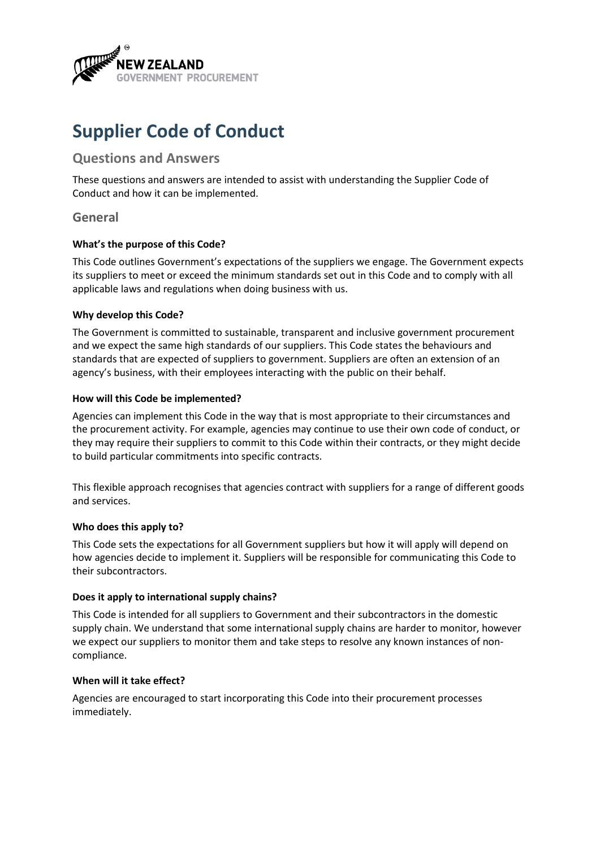

# **Supplier Code of Conduct**

# **Questions and Answers**

These questions and answers are intended to assist with understanding the Supplier Code of Conduct and how it can be implemented.

## **General**

## **What's the purpose of this Code?**

This Code outlines Government's expectations of the suppliers we engage. The Government expects its suppliers to meet or exceed the minimum standards set out in this Code and to comply with all applicable laws and regulations when doing business with us.

## **Why develop this Code?**

The Government is committed to sustainable, transparent and inclusive government procurement and we expect the same high standards of our suppliers. This Code states the behaviours and standards that are expected of suppliers to government. Suppliers are often an extension of an agency's business, with their employees interacting with the public on their behalf.

## **How will this Code be implemented?**

Agencies can implement this Code in the way that is most appropriate to their circumstances and the procurement activity. For example, agencies may continue to use their own code of conduct, or they may require their suppliers to commit to this Code within their contracts, or they might decide to build particular commitments into specific contracts.

This flexible approach recognises that agencies contract with suppliers for a range of different goods and services.

#### **Who does this apply to?**

This Code sets the expectations for all Government suppliers but how it will apply will depend on how agencies decide to implement it. Suppliers will be responsible for communicating this Code to their subcontractors.

## **Does it apply to international supply chains?**

This Code is intended for all suppliers to Government and their subcontractors in the domestic supply chain. We understand that some international supply chains are harder to monitor, however we expect our suppliers to monitor them and take steps to resolve any known instances of noncompliance.

#### **When will it take effect?**

Agencies are encouraged to start incorporating this Code into their procurement processes immediately.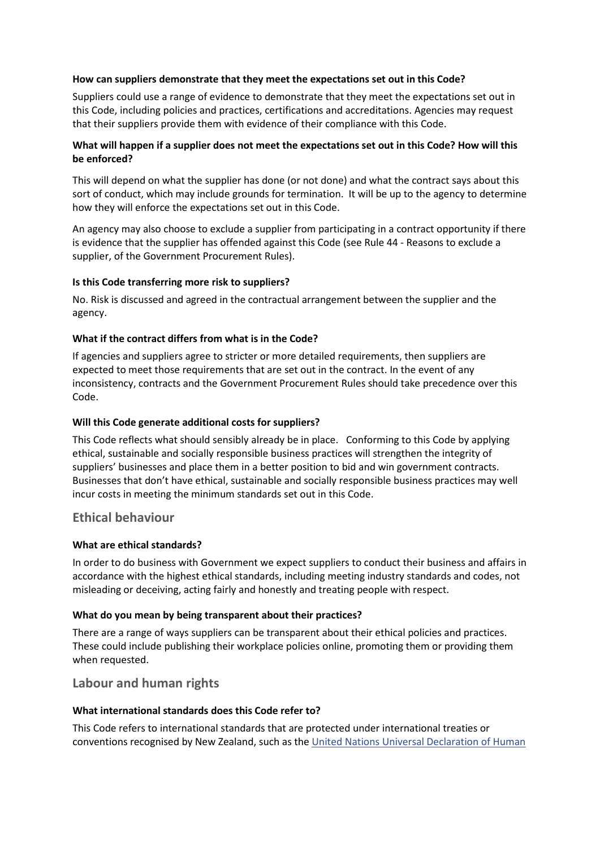#### **How can suppliers demonstrate that they meet the expectations set out in this Code?**

Suppliers could use a range of evidence to demonstrate that they meet the expectations set out in this Code, including policies and practices, certifications and accreditations. Agencies may request that their suppliers provide them with evidence of their compliance with this Code.

## **What will happen if a supplier does not meet the expectations set out in this Code? How will this be enforced?**

This will depend on what the supplier has done (or not done) and what the contract says about this sort of conduct, which may include grounds for termination. It will be up to the agency to determine how they will enforce the expectations set out in this Code.

An agency may also choose to exclude a supplier from participating in a contract opportunity if there is evidence that the supplier has offended against this Code (see Rule 44 - Reasons to exclude a supplier, of the Government Procurement Rules).

## **Is this Code transferring more risk to suppliers?**

No. Risk is discussed and agreed in the contractual arrangement between the supplier and the agency.

## **What if the contract differs from what is in the Code?**

If agencies and suppliers agree to stricter or more detailed requirements, then suppliers are expected to meet those requirements that are set out in the contract. In the event of any inconsistency, contracts and the Government Procurement Rules should take precedence over this Code.

## **Will this Code generate additional costs for suppliers?**

This Code reflects what should sensibly already be in place. Conforming to this Code by applying ethical, sustainable and socially responsible business practices will strengthen the integrity of suppliers' businesses and place them in a better position to bid and win government contracts. Businesses that don't have ethical, sustainable and socially responsible business practices may well incur costs in meeting the minimum standards set out in this Code.

## **Ethical behaviour**

#### **What are ethical standards?**

In order to do business with Government we expect suppliers to conduct their business and affairs in accordance with the highest ethical standards, including meeting industry standards and codes, not misleading or deceiving, acting fairly and honestly and treating people with respect.

#### **What do you mean by being transparent about their practices?**

There are a range of ways suppliers can be transparent about their ethical policies and practices. These could include publishing their workplace policies online, promoting them or providing them when requested.

# **Labour and human rights**

#### **What international standards does this Code refer to?**

This Code refers to international standards that are protected under international treaties or conventions recognised by New Zealand, such as th[e United Nations Universal Declaration of Human](https://www.un.org/en/universal-declaration-human-rights/index.html)